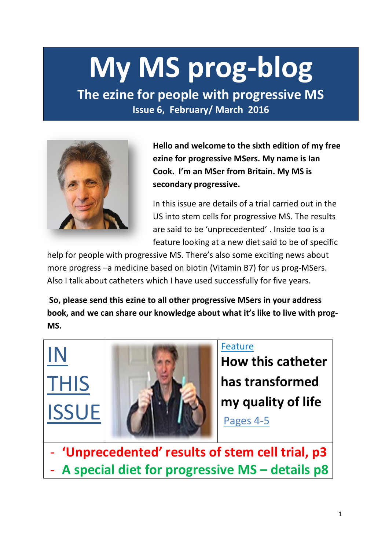# **My MS prog-blog**

**The ezine for people with progressive MS Issue 6, February/ March 2016**



**Hello and welcome to the sixth edition of my free ezine for progressive MSers. My name is Ian Cook. I'm an MSer from Britain. My MS is secondary progressive.** 

In this issue are details of a trial carried out in the US into stem cells for progressive MS. The results are said to be 'unprecedented' . Inside too is a feature looking at a new diet said to be of specific

help for people with progressive MS. There's also some exciting news about more progress –a medicine based on biotin (Vitamin B7) for us prog-MSers. Also I talk about catheters which I have used successfully for five years.

**So, please send this ezine to all other progressive MSers in your address book, and we can share our knowledge about what it's like to live with prog-MS.**

IN THIS **ISSUE** 



### Feature

**How this catheter has transformed my quality of life** 

Pages 4-5

- **'Unprecedented' results of stem cell trial, p3** - **A special diet for progressive MS – details p8**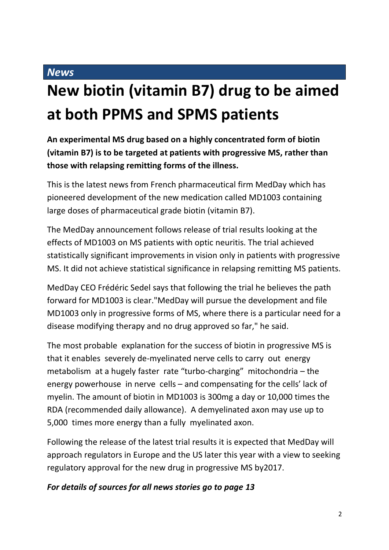## **New biotin (vitamin B7) drug to be aimed at both PPMS and SPMS patients**

**An experimental MS drug based on a highly concentrated form of biotin (vitamin B7) is to be targeted at patients with progressive MS, rather than those with relapsing remitting forms of the illness.**

This is the latest news from French pharmaceutical firm MedDay which has pioneered development of the new medication called MD1003 containing large doses of pharmaceutical grade biotin (vitamin B7).

The MedDay announcement follows release of trial results looking at the effects of MD1003 on MS patients with optic neuritis. The trial achieved statistically significant improvements in vision only in patients with progressive MS. It did not achieve statistical significance in relapsing remitting MS patients.

MedDay CEO Frédéric Sedel says that following the trial he believes the path forward for MD1003 is clear."MedDay will pursue the development and file MD1003 only in progressive forms of MS, where there is a particular need for a disease modifying therapy and no drug approved so far," he said.

The most probable explanation for the success of biotin in progressive MS is that it enables severely de-myelinated nerve cells to carry out energy metabolism at a hugely faster rate "turbo-charging" mitochondria – the energy powerhouse in nerve cells – and compensating for the cells' lack of myelin. The amount of biotin in MD1003 is 300mg a day or 10,000 times the RDA (recommended daily allowance). A demyelinated axon may use up to 5,000 times more energy than a fully myelinated axon.

Following the release of the latest trial results it is expected that MedDay will approach regulators in Europe and the US later this year with a view to seeking regulatory approval for the new drug in progressive MS by2017.

### *For details of sources for all news stories go to page 13*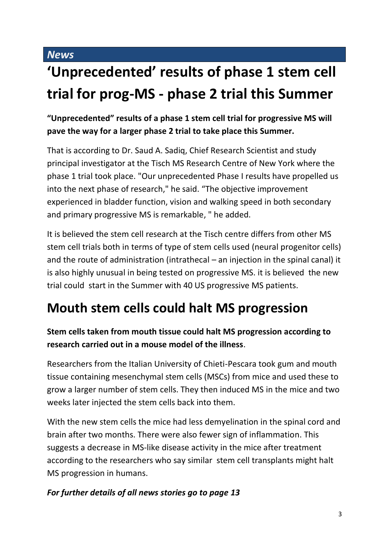### **'Unprecedented' results of phase 1 stem cell trial for prog-MS - phase 2 trial this Summer**

**"Unprecedented" results of a phase 1 stem cell trial for progressive MS will pave the way for a larger phase 2 trial to take place this Summer.** 

That is according to Dr. Saud A. Sadiq, Chief Research Scientist and study principal investigator at the Tisch MS Research Centre of New York where the phase 1 trial took place. "Our unprecedented Phase I results have propelled us into the next phase of research," he said. "The objective improvement experienced in bladder function, vision and walking speed in both secondary and primary progressive MS is remarkable, " he added.

It is believed the stem cell research at the Tisch centre differs from other MS stem cell trials both in terms of type of stem cells used (neural progenitor cells) and the route of administration (intrathecal – an injection in the spinal canal) it is also highly unusual in being tested on progressive MS. it is believed the new trial could start in the Summer with 40 US progressive MS patients.

### **Mouth stem cells could halt MS progression**

### **Stem cells taken from mouth tissue could halt MS progression according to research carried out in a mouse model of the illness**.

Researchers from the Italian University of Chieti-Pescara took gum and mouth tissue containing mesenchymal stem cells (MSCs) from mice and used these to grow a larger number of stem cells. They then induced MS in the mice and two weeks later injected the stem cells back into them.

With the new stem cells the mice had less demyelination in the spinal cord and brain after two months. There were also fewer sign of inflammation. This suggests a decrease in MS-like disease activity in the mice after treatment according to the researchers who say similar stem cell transplants might halt MS progression in humans.

### *For further details of all news stories go to page 13*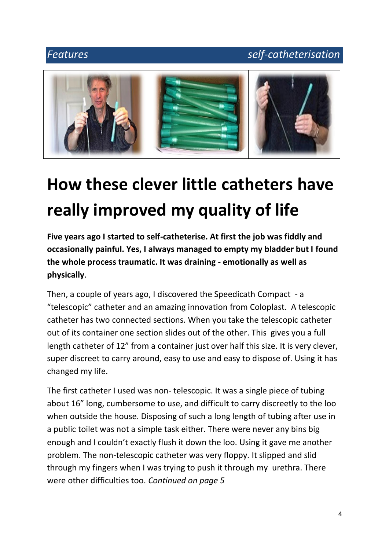### *Features self-catheterisation*



# **How these clever little catheters have really improved my quality of life**

**Five years ago I started to self-catheterise. At first the job was fiddly and occasionally painful. Yes, I always managed to empty my bladder but I found the whole process traumatic. It was draining - emotionally as well as physically**.

Then, a couple of years ago, I discovered the Speedicath Compact - a "telescopic" catheter and an amazing innovation from Coloplast. A telescopic catheter has two connected sections. When you take the telescopic catheter out of its container one section slides out of the other. This gives you a full length catheter of 12" from a container just over half this size. It is very clever, super discreet to carry around, easy to use and easy to dispose of. Using it has changed my life.

The first catheter I used was non- telescopic. It was a single piece of tubing about 16" long, cumbersome to use, and difficult to carry discreetly to the loo when outside the house. Disposing of such a long length of tubing after use in a public toilet was not a simple task either. There were never any bins big enough and I couldn't exactly flush it down the loo. Using it gave me another problem. The non-telescopic catheter was very floppy. It slipped and slid through my fingers when I was trying to push it through my urethra. There were other difficulties too. *Continued on page 5*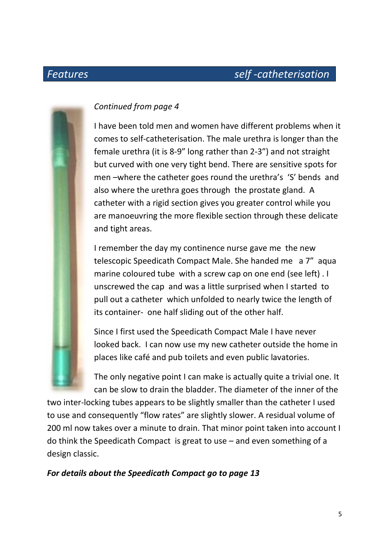### *Features self -catheterisation*



### *Continued from page 4*

I have been told men and women have different problems when it comes to self-catheterisation. The male urethra is longer than the female urethra (it is 8-9" long rather than 2-3") and not straight but curved with one very tight bend. There are sensitive spots for men –where the catheter goes round the urethra's 'S' bends and also where the urethra goes through the prostate gland. A catheter with a rigid section gives you greater control while you are manoeuvring the more flexible section through these delicate and tight areas.

I remember the day my continence nurse gave me the new telescopic Speedicath Compact Male. She handed me a 7" aqua marine coloured tube with a screw cap on one end (see left) . I unscrewed the cap and was a little surprised when I started to pull out a catheter which unfolded to nearly twice the length of its container- one half sliding out of the other half.

Since I first used the Speedicath Compact Male I have never looked back. I can now use my new catheter outside the home in places like café and pub toilets and even public lavatories.

The only negative point I can make is actually quite a trivial one. It can be slow to drain the bladder. The diameter of the inner of the

two inter-locking tubes appears to be slightly smaller than the catheter I used to use and consequently "flow rates" are slightly slower. A residual volume of 200 ml now takes over a minute to drain. That minor point taken into account I do think the Speedicath Compact is great to use – and even something of a design classic.

### *For details about the Speedicath Compact go to page 13*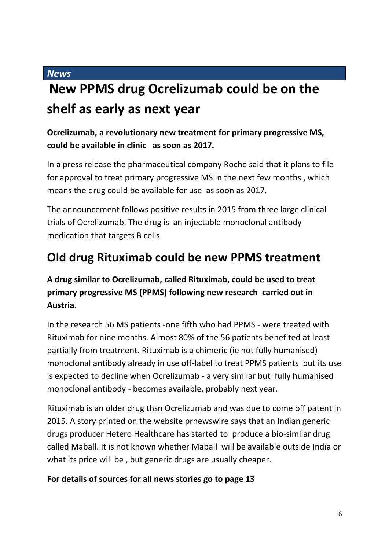### **New PPMS drug Ocrelizumab could be on the shelf as early as next year**

### **Ocrelizumab, a revolutionary new treatment for primary progressive MS, could be available in clinic as soon as 2017.**

In a press release the pharmaceutical company Roche said that it plans to file for approval to treat primary progressive MS in the next few months , which means the drug could be available for use as soon as 2017.

The announcement follows positive results in 2015 from three large clinical trials of Ocrelizumab. The drug is an injectable monoclonal antibody medication that targets B cells.

### **Old drug Rituximab could be new PPMS treatment**

### **A drug similar to Ocrelizumab, called Rituximab, could be used to treat primary progressive MS (PPMS) following new research carried out in Austria.**

In the research 56 MS patients -one fifth who had PPMS - were treated with Rituximab for nine months. Almost 80% of the 56 patients benefited at least partially from treatment. Rituximab is a chimeric (ie not fully humanised) monoclonal antibody already in use off-label to treat PPMS patients but its use is expected to decline when Ocrelizumab - a very similar but fully humanised monoclonal antibody - becomes available, probably next year.

Rituximab is an older drug thsn Ocrelizumab and was due to come off patent in 2015. A story printed on the website prnewswire says that an Indian generic drugs producer Hetero Healthcare has started to produce a bio-similar drug called Maball. It is not known whether Maball will be available outside India or what its price will be , but generic drugs are usually cheaper.

#### **For details of sources for all news stories go to page 13**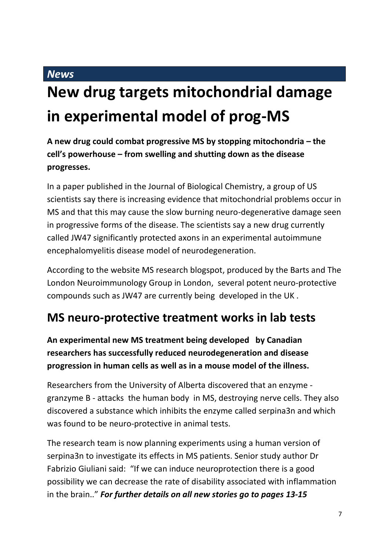## **New drug targets mitochondrial damage in experimental model of prog-MS**

**A new drug could combat progressive MS by stopping mitochondria – the cell's powerhouse – from swelling and shutting down as the disease progresses.**

In a paper published in the Journal of Biological Chemistry, a group of US scientists say there is increasing evidence that mitochondrial problems occur in MS and that this may cause the slow burning neuro-degenerative damage seen in progressive forms of the disease. The scientists say a new drug currently called JW47 significantly protected axons in an experimental autoimmune encephalomyelitis disease model of neurodegeneration.

According to the website MS research blogspot, produced by the Barts and The London Neuroimmunology Group in London, several potent neuro-protective compounds such as JW47 are currently being developed in the UK .

### **MS neuro-protective treatment works in lab tests**

**An experimental new MS treatment being developed by Canadian researchers has successfully reduced neurodegeneration and disease progression in human cells as well as in a mouse model of the illness.** 

Researchers from the University of Alberta discovered that an enzyme granzyme B - attacks the human body in MS, destroying nerve cells. They also discovered a substance which inhibits the enzyme called serpina3n and which was found to be neuro-protective in animal tests.

The research team is now planning experiments using a human version of serpina3n to investigate its effects in MS patients. Senior study author Dr Fabrizio Giuliani said: "If we can induce neuroprotection there is a good possibility we can decrease the rate of disability associated with inflammation in the brain.." *For further details on all new stories go to pages 13-15*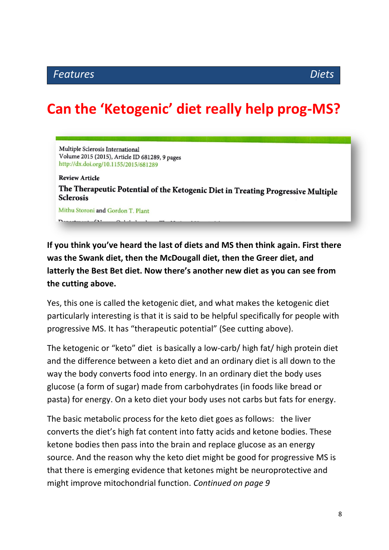### **Can the 'Ketogenic' diet really help prog-MS?**

Multiple Sclerosis International Volume 2015 (2015), Article ID 681289, 9 pages http://dx.doi.org/10.1155/2015/681289

**Review Article** The Therapeutic Potential of the Ketogenic Diet in Treating Progressive Multiple **Sclerosis** 

Mithu Storoni and Gordon T. Plant

**If you think you've heard the last of diets and MS then think again. First there was the Swank diet, then the McDougall diet, then the Greer diet, and latterly the Best Bet diet. Now there's another new diet as you can see from the cutting above.**

Yes, this one is called the ketogenic diet, and what makes the ketogenic diet particularly interesting is that it is said to be helpful specifically for people with progressive MS. It has "therapeutic potential" (See cutting above).

The ketogenic or "keto" diet is basically a low-carb/ high fat/ high protein diet and the difference between a keto diet and an ordinary diet is all down to the way the body converts food into energy. In an ordinary diet the body uses glucose (a form of sugar) made from carbohydrates (in foods like bread or pasta) for energy. On a keto diet your body uses not carbs but fats for energy.

The basic metabolic process for the keto diet goes as follows: the liver converts the diet's high fat content into fatty acids and ketone bodies. These ketone bodies then pass into the brain and replace glucose as an energy source. And the reason why the keto diet might be good for progressive MS is that there is emerging evidence that ketones might be neuroprotective and might improve mitochondrial function. *Continued on page 9*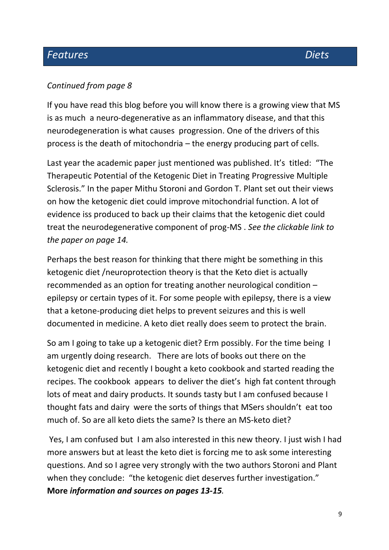### *Continued from page 8*

If you have read this blog before you will know there is a growing view that MS is as much a neuro-degenerative as an inflammatory disease, and that this neurodegeneration is what causes progression. One of the drivers of this process is the death of mitochondria – the energy producing part of cells.

Last year the academic paper just mentioned was published. It's titled: "The Therapeutic Potential of the Ketogenic Diet in Treating Progressive Multiple Sclerosis." In the paper Mithu Storoni and Gordon T. Plant set out their views on how the ketogenic diet could improve mitochondrial function. A lot of evidence iss produced to back up their claims that the ketogenic diet could treat the neurodegenerative component of prog-MS . *See the clickable link to the paper on page 14.*

Perhaps the best reason for thinking that there might be something in this ketogenic diet /neuroprotection theory is that the Keto diet is actually recommended as an option for treating another neurological condition – epilepsy or certain types of it. For some people with epilepsy, there is a view that a ketone-producing diet helps to prevent seizures and this is well documented in medicine. A keto diet really does seem to protect the brain.

So am I going to take up a ketogenic diet? Erm possibly. For the time being I am urgently doing research. There are lots of books out there on the ketogenic diet and recently I bought a keto cookbook and started reading the recipes. The cookbook appears to deliver the diet's high fat content through lots of meat and dairy products. It sounds tasty but I am confused because I thought fats and dairy were the sorts of things that MSers shouldn't eat too much of. So are all keto diets the same? Is there an MS-keto diet?

Yes, I am confused but I am also interested in this new theory. I just wish I had more answers but at least the keto diet is forcing me to ask some interesting questions. And so I agree very strongly with the two authors Storoni and Plant when they conclude: "the ketogenic diet deserves further investigation." **More** *information and sources on pages 13-15.*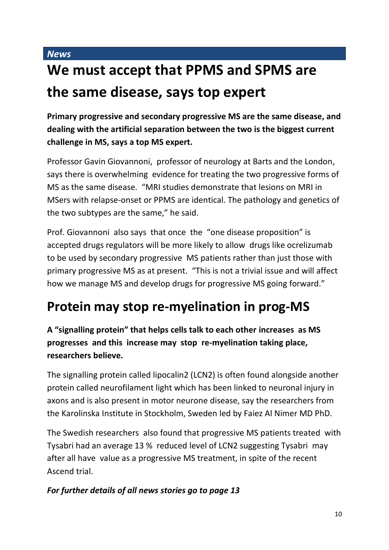### **We must accept that PPMS and SPMS are the same disease, says top expert**

**Primary progressive and secondary progressive MS are the same disease, and dealing with the artificial separation between the two is the biggest current challenge in MS, says a top MS expert.**

Professor Gavin Giovannoni, professor of neurology at Barts and the London, says there is overwhelming evidence for treating the two progressive forms of MS as the same disease. "MRI studies demonstrate that lesions on MRI in MSers with relapse-onset or PPMS are identical. The pathology and genetics of the two subtypes are the same," he said.

Prof. Giovannoni also says that once the "one disease proposition" is accepted drugs regulators will be more likely to allow drugs like ocrelizumab to be used by secondary progressive MS patients rather than just those with primary progressive MS as at present. "This is not a trivial issue and will affect how we manage MS and develop drugs for progressive MS going forward."

### **Protein may stop re-myelination in prog-MS**

**A "signalling protein" that helps cells talk to each other increases as MS progresses and this increase may stop re-myelination taking place, researchers believe.** 

The signalling protein called lipocalin2 (LCN2) is often found alongside another protein called neurofilament light which has been linked to neuronal injury in axons and is also present in motor neurone disease, say the researchers from the Karolinska Institute in Stockholm, Sweden led by Faiez Al Nimer MD PhD.

The Swedish researchers also found that progressive MS patients treated with Tysabri had an average 13 % reduced level of LCN2 suggesting Tysabri may after all have value as a progressive MS treatment, in spite of the recent Ascend trial.

### *For further details of all news stories go to page 13*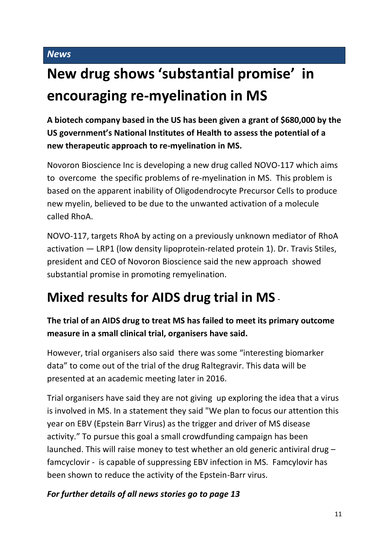## **New drug shows 'substantial promise' in encouraging re-myelination in MS**

**A biotech company based in the US has been given a grant of \$680,000 by the US government's National Institutes of Health to assess the potential of a new therapeutic approach to re-myelination in MS.**

Novoron Bioscience Inc is developing a new drug called NOVO-117 which aims to overcome the specific problems of re-myelination in MS. This problem is based on the apparent inability of Oligodendrocyte Precursor Cells to produce new myelin, believed to be due to the unwanted activation of a molecule called RhoA.

NOVO-117, targets RhoA by acting on a previously unknown mediator of RhoA activation — LRP1 (low density lipoprotein-related protein 1). Dr. Travis Stiles, president and CEO of Novoron Bioscience said the new approach showed substantial promise in promoting remyelination.

### **Mixed results for AIDS drug trial in MS** -

### **The trial of an AIDS drug to treat MS has failed to meet its primary outcome measure in a small clinical trial, organisers have said.**

However, trial organisers also said there was some "interesting biomarker data" to come out of the trial of the drug Raltegravir. This data will be presented at an academic meeting later in 2016.

Trial organisers have said they are not giving up exploring the idea that a virus is involved in MS. In a statement they said "We plan to focus our attention this year on EBV (Epstein Barr Virus) as the trigger and driver of MS disease activity." To pursue this goal a small crowdfunding campaign has been launched. This will raise money to test whether an old generic antiviral drug – famcyclovir - is capable of suppressing EBV infection in MS. Famcylovir has been shown to reduce the activity of the Epstein-Barr virus.

### *For further details of all news stories go to page 13*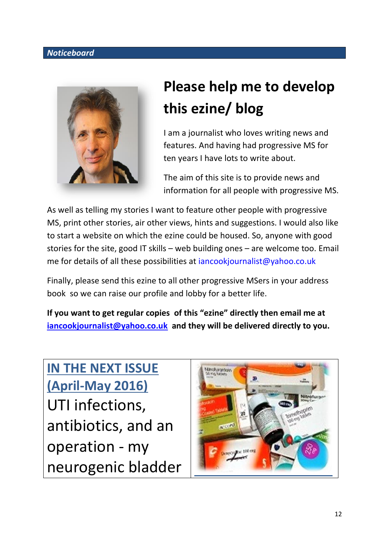#### *Noticeboard*



## **Please help me to develop this ezine/ blog**

I am a journalist who loves writing news and features. And having had progressive MS for ten years I have lots to write about.

The aim of this site is to provide news and information for all people with progressive MS.

As well as telling my stories I want to feature other people with progressive MS, print other stories, air other views, hints and suggestions. I would also like to start a website on which the ezine could be housed. So, anyone with good stories for the site, good IT skills – web building ones – are welcome too. Email me for details of all these possibilities at *iancookjournalist@yahoo.co.uk* 

Finally, please send this ezine to all other progressive MSers in your address book so we can raise our profile and lobby for a better life.

**If you want to get regular copies of this "ezine" directly then email me at [iancookjournalist@yahoo.co.uk](mailto:iancookjournalist@yahoo.co.uk) and they will be delivered directly to you.**

**IN THE NEXT ISSUE (April-May 2016)** UTI infections, antibiotics, and an operation - my neurogenic bladder

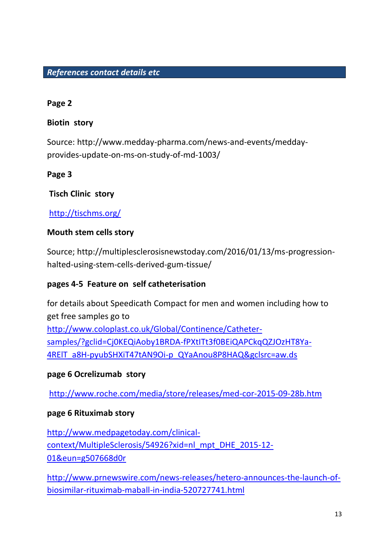#### *References contact details etc*

#### **Page 2**

#### **Biotin story**

Source: http://www.medday-pharma.com/news-and-events/meddayprovides-update-on-ms-on-study-of-md-1003/

### **Page 3**

### **Tisch Clinic story**

### <http://tischms.org/>

### **Mouth stem cells story**

Source; http://multiplesclerosisnewstoday.com/2016/01/13/ms-progressionhalted-using-stem-cells-derived-gum-tissue/

### **pages 4-5 Feature on self catheterisation**

for details about Speedicath Compact for men and women including how to get free samples go to [http://www.coloplast.co.uk/Global/Continence/Catheter](http://www.coloplast.co.uk/Global/Continence/Catheter-samples/?gclid=Cj0KEQiAoby1BRDA-fPXtITt3f0BEiQAPCkqQZJOzHT8Ya-4RElT_a8H-pyubSHXiT47tAN9Oi-p_QYaAnou8P8HAQ&gclsrc=aw.ds)[samples/?gclid=Cj0KEQiAoby1BRDA-fPXtITt3f0BEiQAPCkqQZJOzHT8Ya-](http://www.coloplast.co.uk/Global/Continence/Catheter-samples/?gclid=Cj0KEQiAoby1BRDA-fPXtITt3f0BEiQAPCkqQZJOzHT8Ya-4RElT_a8H-pyubSHXiT47tAN9Oi-p_QYaAnou8P8HAQ&gclsrc=aw.ds)[4RElT\\_a8H-pyubSHXiT47tAN9Oi-p\\_QYaAnou8P8HAQ&gclsrc=aw.ds](http://www.coloplast.co.uk/Global/Continence/Catheter-samples/?gclid=Cj0KEQiAoby1BRDA-fPXtITt3f0BEiQAPCkqQZJOzHT8Ya-4RElT_a8H-pyubSHXiT47tAN9Oi-p_QYaAnou8P8HAQ&gclsrc=aw.ds)

### **page 6 Ocrelizumab story**

<http://www.roche.com/media/store/releases/med-cor-2015-09-28b.htm>

#### **page 6 Rituximab story**

[http://www.medpagetoday.com/clinical](http://www.medpagetoday.com/clinical-context/MultipleSclerosis/54926?xid=nl_mpt_DHE_2015-12-01&eun=g507668d0r)[context/MultipleSclerosis/54926?xid=nl\\_mpt\\_DHE\\_2015-12-](http://www.medpagetoday.com/clinical-context/MultipleSclerosis/54926?xid=nl_mpt_DHE_2015-12-01&eun=g507668d0r) [01&eun=g507668d0r](http://www.medpagetoday.com/clinical-context/MultipleSclerosis/54926?xid=nl_mpt_DHE_2015-12-01&eun=g507668d0r)

[http://www.prnewswire.com/news-releases/hetero-announces-the-launch-of](http://www.prnewswire.com/news-releases/hetero-announces-the-launch-of-biosimilar-rituximab-maball-in-india-520727741.html)[biosimilar-rituximab-maball-in-india-520727741.html](http://www.prnewswire.com/news-releases/hetero-announces-the-launch-of-biosimilar-rituximab-maball-in-india-520727741.html)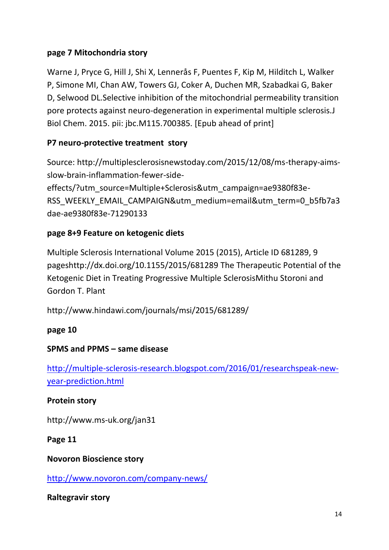### **page 7 Mitochondria story**

Warne J, Pryce G, Hill J, Shi X, Lennerås F, Puentes F, Kip M, Hilditch L, Walker P, Simone MI, Chan AW, Towers GJ, Coker A, Duchen MR, Szabadkai G, Baker D, Selwood DL.Selective inhibition of the mitochondrial permeability transition pore protects against neuro-degeneration in experimental multiple sclerosis.J Biol Chem. 2015. pii: jbc.M115.700385. [Epub ahead of print]

### **P7 neuro-protective treatment story**

Source: http://multiplesclerosisnewstoday.com/2015/12/08/ms-therapy-aimsslow-brain-inflammation-fewer-sideeffects/?utm\_source=Multiple+Sclerosis&utm\_campaign=ae9380f83e-RSS\_WEEKLY\_EMAIL\_CAMPAIGN&utm\_medium=email&utm\_term=0\_b5fb7a3 dae-ae9380f83e-71290133

### **page 8+9 Feature on ketogenic diets**

Multiple Sclerosis International Volume 2015 (2015), Article ID 681289, 9 pageshttp://dx.doi.org/10.1155/2015/681289 The Therapeutic Potential of the Ketogenic Diet in Treating Progressive Multiple SclerosisMithu Storoni and Gordon T. Plant

http://www.hindawi.com/journals/msi/2015/681289/

### **page 10**

### **SPMS and PPMS – same disease**

[http://multiple-sclerosis-research.blogspot.com/2016/01/researchspeak-new](http://multiple-sclerosis-research.blogspot.com/2016/01/researchspeak-new-year-prediction.html)[year-prediction.html](http://multiple-sclerosis-research.blogspot.com/2016/01/researchspeak-new-year-prediction.html)

### **Protein story**

http://www.ms-uk.org/jan31

**Page 11**

**Novoron Bioscience story** 

<http://www.novoron.com/company-news/>

**Raltegravir story**